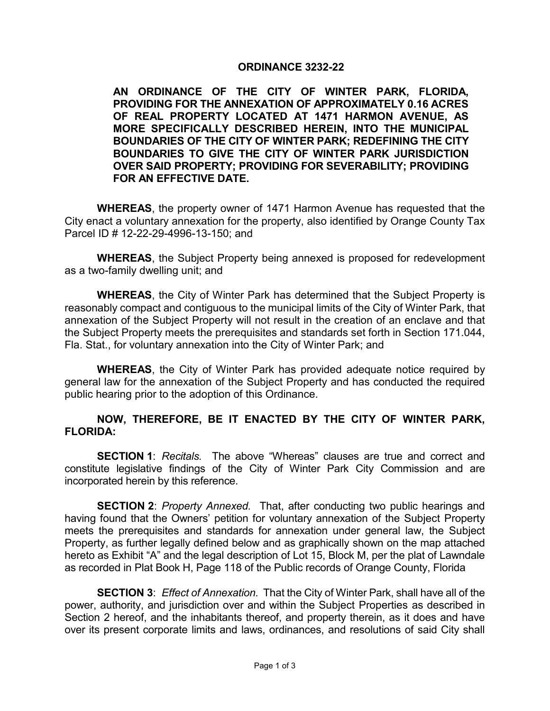## **ORDINANCE 3232-22**

**AN ORDINANCE OF THE CITY OF WINTER PARK, FLORIDA, PROVIDING FOR THE ANNEXATION OF APPROXIMATELY 0.16 ACRES OF REAL PROPERTY LOCATED AT 1471 HARMON AVENUE, AS MORE SPECIFICALLY DESCRIBED HEREIN, INTO THE MUNICIPAL BOUNDARIES OF THE CITY OF WINTER PARK; REDEFINING THE CITY BOUNDARIES TO GIVE THE CITY OF WINTER PARK JURISDICTION OVER SAID PROPERTY; PROVIDING FOR SEVERABILITY; PROVIDING FOR AN EFFECTIVE DATE.** 

**WHEREAS**, the property owner of 1471 Harmon Avenue has requested that the City enact a voluntary annexation for the property, also identified by Orange County Tax Parcel ID # 12-22-29-4996-13-150; and

**WHEREAS**, the Subject Property being annexed is proposed for redevelopment as a two-family dwelling unit; and

**WHEREAS**, the City of Winter Park has determined that the Subject Property is reasonably compact and contiguous to the municipal limits of the City of Winter Park, that annexation of the Subject Property will not result in the creation of an enclave and that the Subject Property meets the prerequisites and standards set forth in Section 171.044, Fla. Stat., for voluntary annexation into the City of Winter Park; and

**WHEREAS**, the City of Winter Park has provided adequate notice required by general law for the annexation of the Subject Property and has conducted the required public hearing prior to the adoption of this Ordinance.

## **NOW, THEREFORE, BE IT ENACTED BY THE CITY OF WINTER PARK, FLORIDA:**

**SECTION 1**: *Recitals.* The above "Whereas" clauses are true and correct and constitute legislative findings of the City of Winter Park City Commission and are incorporated herein by this reference.

**SECTION 2**: *Property Annexed.* That, after conducting two public hearings and having found that the Owners' petition for voluntary annexation of the Subject Property meets the prerequisites and standards for annexation under general law, the Subject Property, as further legally defined below and as graphically shown on the map attached hereto as Exhibit "A" and the legal description of Lot 15, Block M, per the plat of Lawndale as recorded in Plat Book H, Page 118 of the Public records of Orange County, Florida

**SECTION 3**: *Effect of Annexation.* That the City of Winter Park, shall have all of the power, authority, and jurisdiction over and within the Subject Properties as described in Section 2 hereof, and the inhabitants thereof, and property therein, as it does and have over its present corporate limits and laws, ordinances, and resolutions of said City shall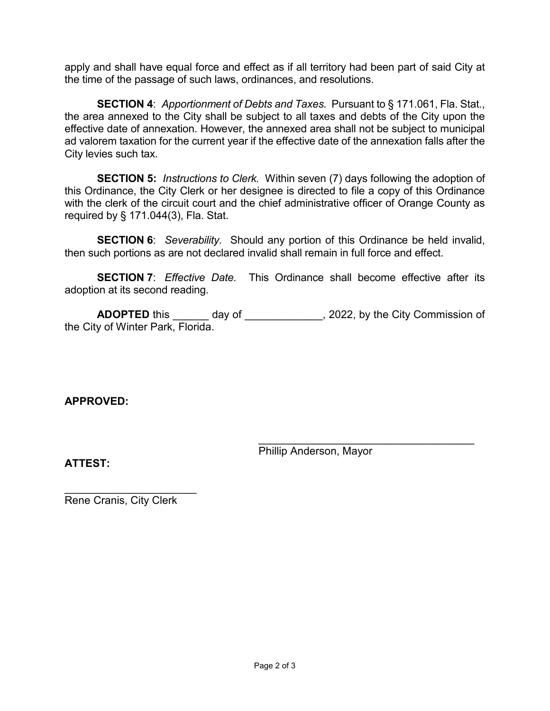apply and shall have equal force and effect as if all territory had been part of said City at the time of the passage of such laws, ordinances, and resolutions.

**SECTION 4**: *Apportionment of Debts and Taxes.* Pursuant to § 171.061, Fla. Stat., the area annexed to the City shall be subject to all taxes and debts of the City upon the effective date of annexation. However, the annexed area shall not be subject to municipal ad valorem taxation for the current year if the effective date of the annexation falls after the City levies such tax.

**SECTION 5:** *Instructions to Clerk.* Within seven (7) days following the adoption of this Ordinance, the City Clerk or her designee is directed to file a copy of this Ordinance with the clerk of the circuit court and the chief administrative officer of Orange County as required by § 171.044(3), Fla. Stat.

**SECTION 6**: *Severability.* Should any portion of this Ordinance be held invalid, then such portions as are not declared invalid shall remain in full force and effect.

**SECTION 7**: *Effective Date.* This Ordinance shall become effective after its adoption at its second reading.

**ADOPTED** this \_\_\_\_\_\_\_ day of \_\_\_\_\_\_\_\_\_\_\_\_\_, 2022, by the City Commission of the City of Winter Park, Florida.

**APPROVED:**

\_\_\_\_\_\_\_\_\_\_\_\_\_\_\_\_\_\_\_\_\_\_\_\_\_\_\_\_\_\_\_\_\_\_\_\_ Phillip Anderson, Mayor

**ATTEST:**

\_\_\_\_\_\_\_\_\_\_\_\_\_\_\_\_\_\_\_\_\_\_ Rene Cranis, City Clerk